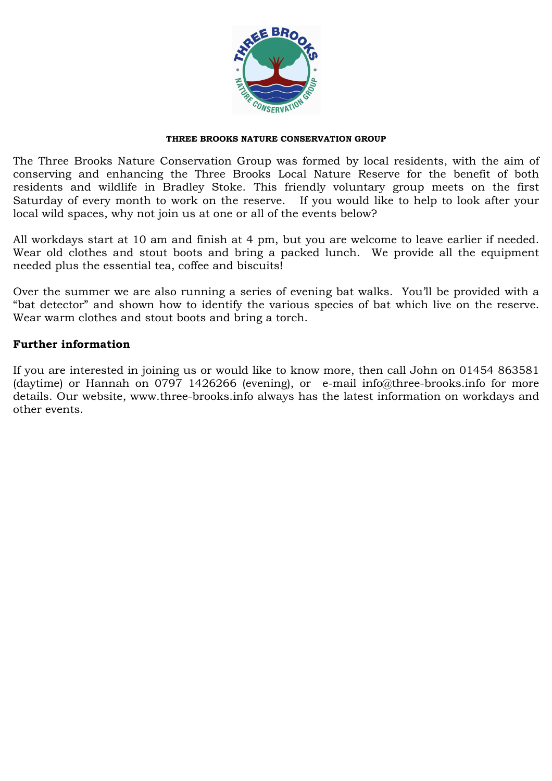

## THREE BROOKS NATURE CONSERVATION GROUP

The Three Brooks Nature Conservation Group was formed by local residents, with the aim of conserving and enhancing the Three Brooks Local Nature Reserve for the benefit of both residents and wildlife in Bradley Stoke. This friendly voluntary group meets on the first Saturday of every month to work on the reserve. If you would like to help to look after your local wild spaces, why not join us at one or all of the events below?

All workdays start at 10 am and finish at 4 pm, but you are welcome to leave earlier if needed. Wear old clothes and stout boots and bring a packed lunch. We provide all the equipment needed plus the essential tea, coffee and biscuits!

Over the summer we are also running a series of evening bat walks. You'll be provided with a "bat detector" and shown how to identify the various species of bat which live on the reserve. Wear warm clothes and stout boots and bring a torch.

## Further information

If you are interested in joining us or would like to know more, then call John on 01454 863581 (daytime) or Hannah on 0797 1426266 (evening), or e-mail info@three-brooks.info for more details. Our website, www.three-brooks.info always has the latest information on workdays and other events.